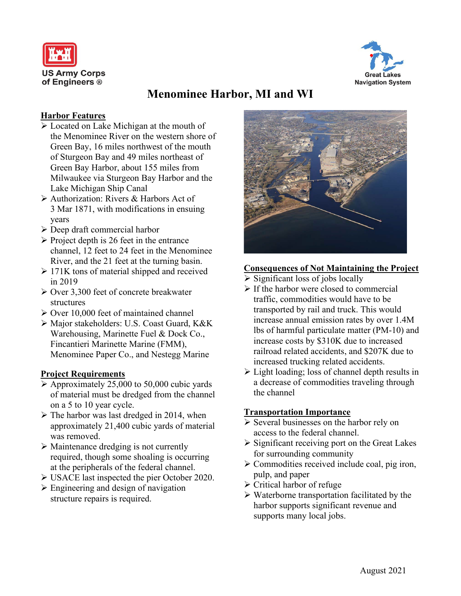



# **Menominee Harbor, MI and WI**

#### **Harbor Features**

- Located on Lake Michigan at the mouth of the Menominee River on the western shore of Green Bay, 16 miles northwest of the mouth of Sturgeon Bay and 49 miles northeast of Green Bay Harbor, about 155 miles from Milwaukee via Sturgeon Bay Harbor and the Lake Michigan Ship Canal
- Authorization: Rivers & Harbors Act of 3 Mar 1871, with modifications in ensuing years
- Deep draft commercial harbor
- $\triangleright$  Project depth is 26 feet in the entrance channel, 12 feet to 24 feet in the Menominee River, and the 21 feet at the turning basin.
- $\geq 171K$  tons of material shipped and received in 2019
- Over 3,300 feet of concrete breakwater structures
- $\geq$  Over 10,000 feet of maintained channel
- Major stakeholders: U.S. Coast Guard, K&K Warehousing, Marinette Fuel & Dock Co., Fincantieri Marinette Marine (FMM), Menominee Paper Co., and Nestegg Marine

### **Project Requirements**

- $\triangleright$  Approximately 25,000 to 50,000 cubic yards of material must be dredged from the channel on a 5 to 10 year cycle.
- $\triangleright$  The harbor was last dredged in 2014, when approximately 21,400 cubic yards of material was removed.
- $\triangleright$  Maintenance dredging is not currently required, though some shoaling is occurring at the peripherals of the federal channel.
- USACE last inspected the pier October 2020.
- $\triangleright$  Engineering and design of navigation structure repairs is required.



### **Consequences of Not Maintaining the Project**

- $\triangleright$  Significant loss of jobs locally
- $\triangleright$  If the harbor were closed to commercial traffic, commodities would have to be transported by rail and truck. This would increase annual emission rates by over 1.4M lbs of harmful particulate matter (PM-10) and increase costs by \$310K due to increased railroad related accidents, and \$207K due to increased trucking related accidents.
- $\triangleright$  Light loading; loss of channel depth results in a decrease of commodities traveling through the channel

### **Transportation Importance**

- $\triangleright$  Several businesses on the harbor rely on access to the federal channel.
- $\triangleright$  Significant receiving port on the Great Lakes for surrounding community
- $\triangleright$  Commodities received include coal, pig iron, pulp, and paper
- $\triangleright$  Critical harbor of refuge
- $\triangleright$  Waterborne transportation facilitated by the harbor supports significant revenue and supports many local jobs.